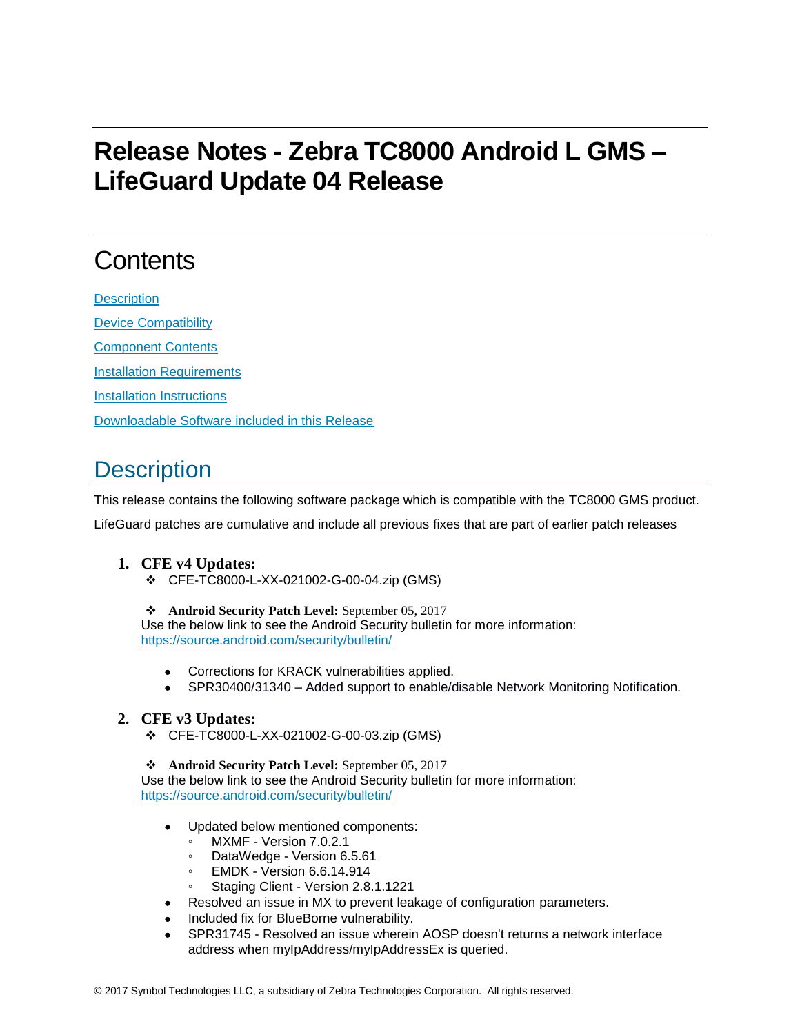# **Release Notes - Zebra TC8000 Android L GMS – LifeGuard Update 04 Release**

# **Contents**

**[Description](#page-0-0)** [Device Compatibility](#page-1-0) [Component Contents](#page-2-0) [Installation Requirements](#page-2-1) [Installation Instructions](#page-3-0) [Downloadable Software included in this Release](#page-4-0)

## <span id="page-0-0"></span>**Description**

This release contains the following software package which is compatible with the TC8000 GMS product.

LifeGuard patches are cumulative and include all previous fixes that are part of earlier patch releases

### **1. CFE v4 Updates:**

❖ CFE-TC8000-L-XX-021002-G-00-04.zip (GMS)

#### ❖ **Android Security Patch Level:** September 05, 2017

Use the below link to see the Android Security bulletin for more information: <https://source.android.com/security/bulletin/>

- Corrections for KRACK vulnerabilities applied.
- SPR30400/31340 Added support to enable/disable Network Monitoring Notification.

### **2. CFE v3 Updates:**

❖ CFE-TC8000-L-XX-021002-G-00-03.zip (GMS)

❖ **Android Security Patch Level:** September 05, 2017 Use the below link to see the Android Security bulletin for more information: <https://source.android.com/security/bulletin/>

- Updated below mentioned components:
	- MXMF Version 7.0.2.1
	- DataWedge Version 6.5.61
	- EMDK Version 6.6.14.914
	- Staging Client Version 2.8.1.1221
	- Resolved an issue in MX to prevent leakage of configuration parameters.
- Included fix for BlueBorne vulnerability.
- SPR31745 Resolved an issue wherein AOSP doesn't returns a network interface address when myIpAddress/myIpAddressEx is queried.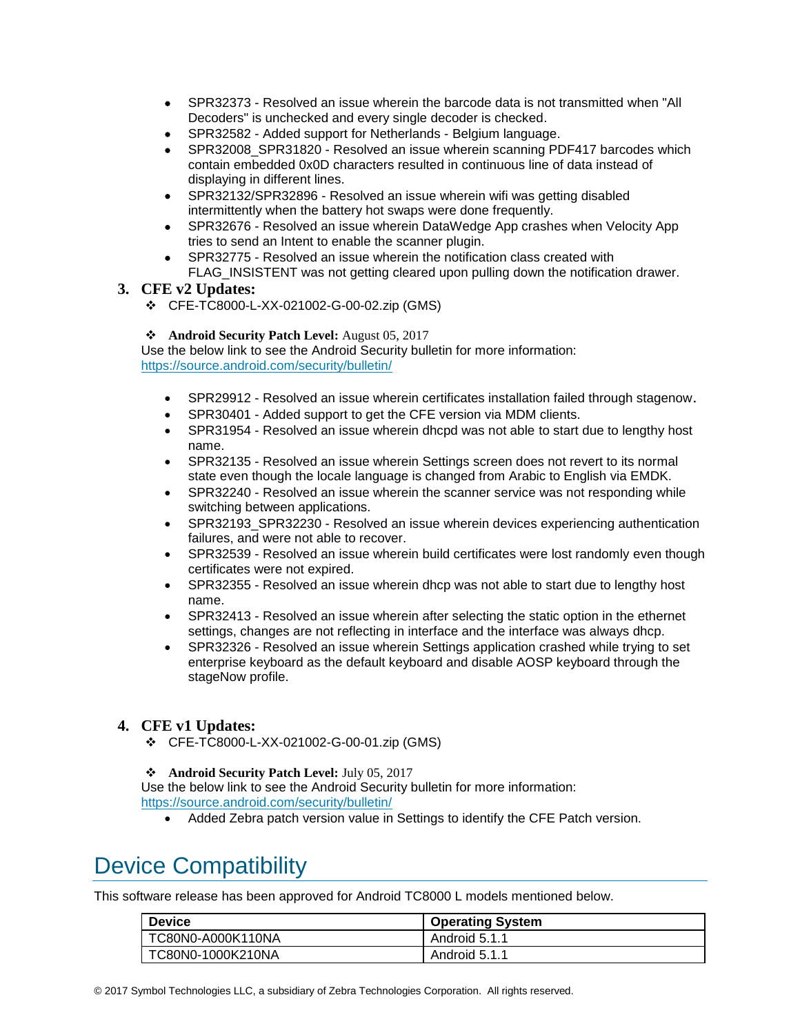- SPR32373 Resolved an issue wherein the barcode data is not transmitted when "All Decoders" is unchecked and every single decoder is checked.
- SPR32582 Added support for Netherlands Belgium language.
- SPR32008 SPR31820 Resolved an issue wherein scanning PDF417 barcodes which contain embedded 0x0D characters resulted in continuous line of data instead of displaying in different lines.
- SPR32132/SPR32896 Resolved an issue wherein wifi was getting disabled intermittently when the battery hot swaps were done frequently.
- SPR32676 Resolved an issue wherein DataWedge App crashes when Velocity App tries to send an Intent to enable the scanner plugin.
- SPR32775 Resolved an issue wherein the notification class created with FLAG\_INSISTENT was not getting cleared upon pulling down the notification drawer.

### **3. CFE v2 Updates:**

❖ CFE-TC8000-L-XX-021002-G-00-02.zip (GMS)

#### ❖ **Android Security Patch Level:** August 05, 2017

Use the below link to see the Android Security bulletin for more information: <https://source.android.com/security/bulletin/>

- SPR29912 Resolved an issue wherein certificates installation failed through stagenow.
- SPR30401 Added support to get the CFE version via MDM clients.
- SPR31954 Resolved an issue wherein dhcpd was not able to start due to lengthy host name.
- SPR32135 Resolved an issue wherein Settings screen does not revert to its normal state even though the locale language is changed from Arabic to English via EMDK.
- SPR32240 Resolved an issue wherein the scanner service was not responding while switching between applications.
- SPR32193\_SPR32230 Resolved an issue wherein devices experiencing authentication failures, and were not able to recover.
- SPR32539 Resolved an issue wherein build certificates were lost randomly even though certificates were not expired.
- SPR32355 Resolved an issue wherein dhcp was not able to start due to lengthy host name.
- SPR32413 Resolved an issue wherein after selecting the static option in the ethernet settings, changes are not reflecting in interface and the interface was always dhcp.
- SPR32326 Resolved an issue wherein Settings application crashed while trying to set enterprise keyboard as the default keyboard and disable AOSP keyboard through the stageNow profile.

### **4. CFE v1 Updates:**

❖ CFE-TC8000-L-XX-021002-G-00-01.zip (GMS)

#### ❖ **Android Security Patch Level:** July 05, 2017

Use the below link to see the Android Security bulletin for more information: <https://source.android.com/security/bulletin/>

• Added Zebra patch version value in Settings to identify the CFE Patch version.

## <span id="page-1-0"></span>Device Compatibility

This software release has been approved for Android TC8000 L models mentioned below.

| <b>Device</b>     | <b>Operating System</b> |
|-------------------|-------------------------|
| TC80N0-A000K110NA | Android 5.1.1           |
| TC80N0-1000K210NA | Android 5.1.1           |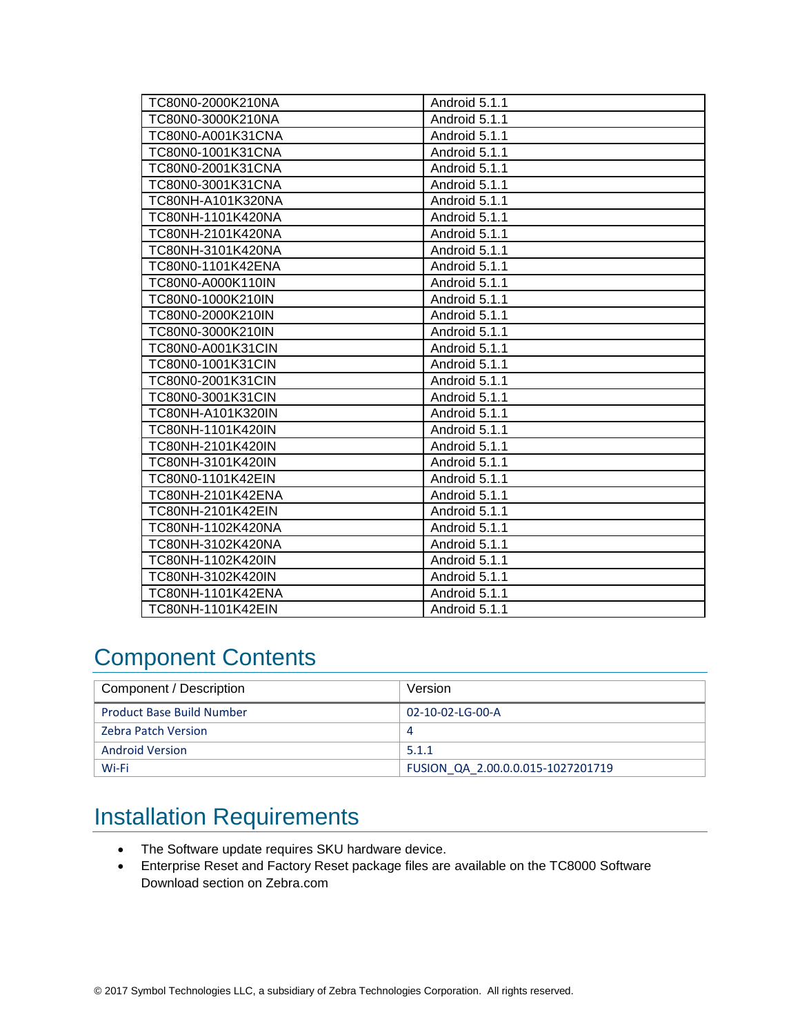| TC80N0-2000K210NA | Android 5.1.1 |
|-------------------|---------------|
| TC80N0-3000K210NA | Android 5.1.1 |
| TC80N0-A001K31CNA | Android 5.1.1 |
| TC80N0-1001K31CNA | Android 5.1.1 |
| TC80N0-2001K31CNA | Android 5.1.1 |
| TC80N0-3001K31CNA | Android 5.1.1 |
| TC80NH-A101K320NA | Android 5.1.1 |
| TC80NH-1101K420NA | Android 5.1.1 |
| TC80NH-2101K420NA | Android 5.1.1 |
| TC80NH-3101K420NA | Android 5.1.1 |
| TC80N0-1101K42ENA | Android 5.1.1 |
| TC80N0-A000K110IN | Android 5.1.1 |
| TC80N0-1000K210IN | Android 5.1.1 |
| TC80N0-2000K210IN | Android 5.1.1 |
| TC80N0-3000K210IN | Android 5.1.1 |
| TC80N0-A001K31CIN | Android 5.1.1 |
| TC80N0-1001K31CIN | Android 5.1.1 |
| TC80N0-2001K31CIN | Android 5.1.1 |
| TC80N0-3001K31CIN | Android 5.1.1 |
| TC80NH-A101K320IN | Android 5.1.1 |
| TC80NH-1101K420IN | Android 5.1.1 |
| TC80NH-2101K420IN | Android 5.1.1 |
| TC80NH-3101K420IN | Android 5.1.1 |
| TC80N0-1101K42EIN | Android 5.1.1 |
| TC80NH-2101K42ENA | Android 5.1.1 |
| TC80NH-2101K42EIN | Android 5.1.1 |
| TC80NH-1102K420NA | Android 5.1.1 |
| TC80NH-3102K420NA | Android 5.1.1 |
| TC80NH-1102K420IN | Android 5.1.1 |
| TC80NH-3102K420IN | Android 5.1.1 |
| TC80NH-1101K42ENA | Android 5.1.1 |
| TC80NH-1101K42EIN | Android 5.1.1 |

## <span id="page-2-0"></span>Component Contents

| Component / Description          | Version                           |
|----------------------------------|-----------------------------------|
| <b>Product Base Build Number</b> | 02-10-02-LG-00-A                  |
| <b>Zebra Patch Version</b>       | 4                                 |
| <b>Android Version</b>           | 5.1.1                             |
| Wi-Fi                            | FUSION QA 2.00.0.0.015-1027201719 |

## <span id="page-2-1"></span>Installation Requirements

- The Software update requires SKU hardware device.
- Enterprise Reset and Factory Reset package files are available on the TC8000 Software Download section on Zebra.com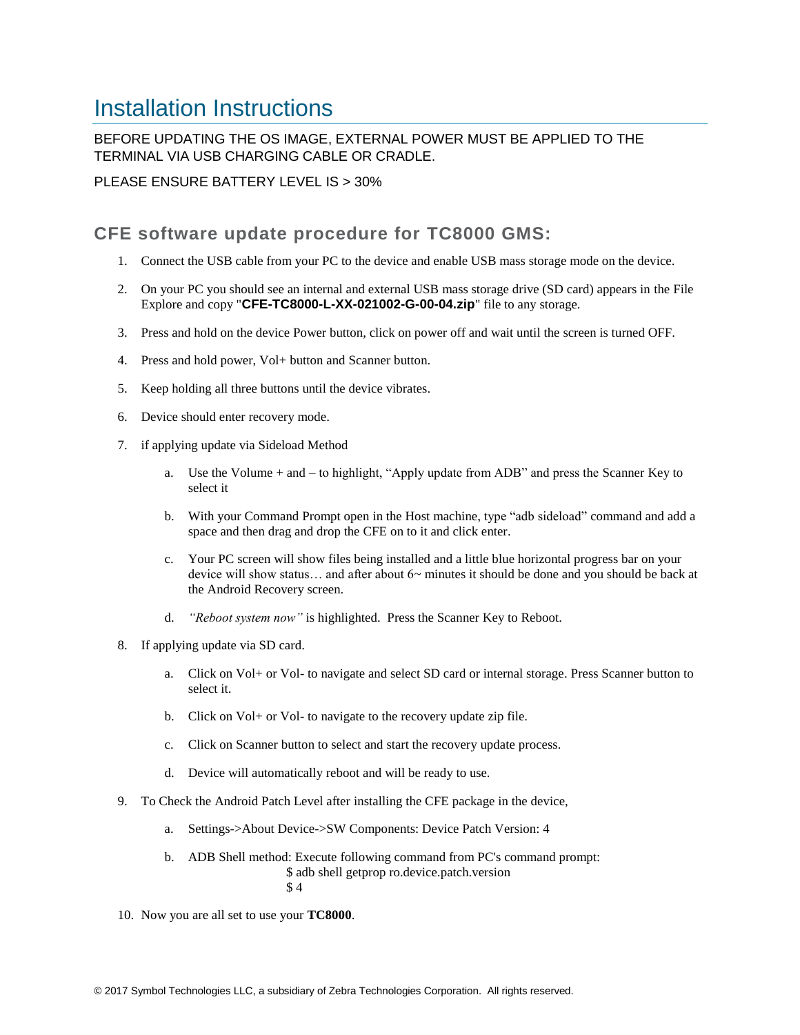## <span id="page-3-0"></span>Installation Instructions

### BEFORE UPDATING THE OS IMAGE, EXTERNAL POWER MUST BE APPLIED TO THE TERMINAL VIA USB CHARGING CABLE OR CRADLE.

PLEASE ENSURE BATTERY LEVEL IS > 30%

## CFE software update procedure for TC8000 GMS:

- 1. Connect the USB cable from your PC to the device and enable USB mass storage mode on the device.
- 2. On your PC you should see an internal and external USB mass storage drive (SD card) appears in the File Explore and copy "**CFE-TC8000-L-XX-021002-G-00-04.zip**" file to any storage.
- 3. Press and hold on the device Power button, click on power off and wait until the screen is turned OFF.
- 4. Press and hold power, Vol+ button and Scanner button.
- 5. Keep holding all three buttons until the device vibrates.
- 6. Device should enter recovery mode.
- 7. if applying update via Sideload Method
	- a. Use the Volume + and to highlight, "Apply update from ADB" and press the Scanner Key to select it
	- b. With your Command Prompt open in the Host machine, type "adb sideload" command and add a space and then drag and drop the CFE on to it and click enter.
	- c. Your PC screen will show files being installed and a little blue horizontal progress bar on your device will show status… and after about 6~ minutes it should be done and you should be back at the Android Recovery screen.
	- d. *"Reboot system now"* is highlighted. Press the Scanner Key to Reboot.
- 8. If applying update via SD card.
	- a. Click on Vol+ or Vol- to navigate and select SD card or internal storage. Press Scanner button to select it.
	- b. Click on Vol+ or Vol- to navigate to the recovery update zip file.
	- c. Click on Scanner button to select and start the recovery update process.
	- d. Device will automatically reboot and will be ready to use.
- 9. To Check the Android Patch Level after installing the CFE package in the device,
	- a. Settings->About Device->SW Components: Device Patch Version: 4
	- b. ADB Shell method: Execute following command from PC's command prompt: \$ adb shell getprop ro.device.patch.version \$ 4
- 10. Now you are all set to use your **TC8000**.